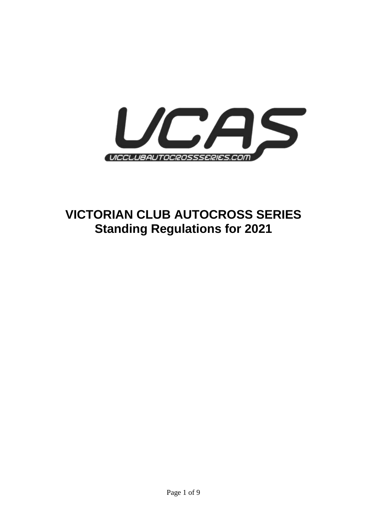

# **VICTORIAN CLUB AUTOCROSS SERIES Standing Regulations for 2021**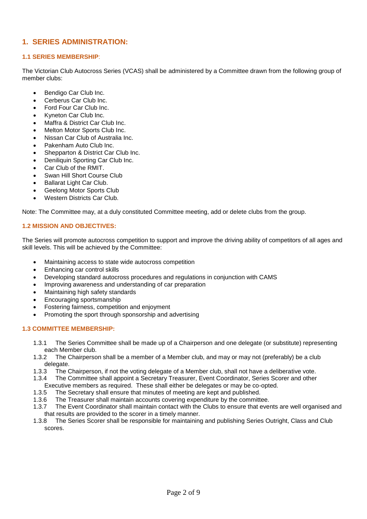# **1. SERIES ADMINISTRATION:**

## **1.1 SERIES MEMBERSHIP**:

The Victorian Club Autocross Series (VCAS) shall be administered by a Committee drawn from the following group of member clubs:

- Bendigo Car Club Inc.
- Cerberus Car Club Inc.
- Ford Four Car Club Inc.
- Kyneton Car Club Inc.
- Maffra & District Car Club Inc.
- Melton Motor Sports Club Inc.
- Nissan Car Club of Australia Inc.
- Pakenham Auto Club Inc.
- Shepparton & District Car Club Inc.
- Deniliquin Sporting Car Club Inc.
- Car Club of the RMIT.
- Swan Hill Short Course Club
- Ballarat Light Car Club.
- Geelong Motor Sports Club
- Western Districts Car Club.

Note: The Committee may, at a duly constituted Committee meeting, add or delete clubs from the group.

# **1.2 MISSION AND OBJECTIVES:**

The Series will promote autocross competition to support and improve the driving ability of competitors of all ages and skill levels. This will be achieved by the Committee:

- Maintaining access to state wide autocross competition
- Enhancing car control skills
- Developing standard autocross procedures and regulations in conjunction with CAMS
- Improving awareness and understanding of car preparation
- Maintaining high safety standards
- Encouraging sportsmanship
- Fostering fairness, competition and enjoyment
- Promoting the sport through sponsorship and advertising

## **1.3 COMMITTEE MEMBERSHIP:**

- 1.3.1 The Series Committee shall be made up of a Chairperson and one delegate (or substitute) representing each Member club.
- 1.3.2 The Chairperson shall be a member of a Member club, and may or may not (preferably) be a club delegate.
- 1.3.3 The Chairperson, if not the voting delegate of a Member club, shall not have a deliberative vote.
- 1.3.4 The Committee shall appoint a Secretary Treasurer, Event Coordinator, Series Scorer and other
- Executive members as required. These shall either be delegates or may be co-opted. 1.3.5 The Secretary shall ensure that minutes of meeting are kept and published.
- 1.3.6 The Treasurer shall maintain accounts covering expenditure by the committee.
- 1.3.7 The Event Coordinator shall maintain contact with the Clubs to ensure that events are well organised and that results are provided to the scorer in a timely manner.
- 1.3.8 The Series Scorer shall be responsible for maintaining and publishing Series Outright, Class and Club scores.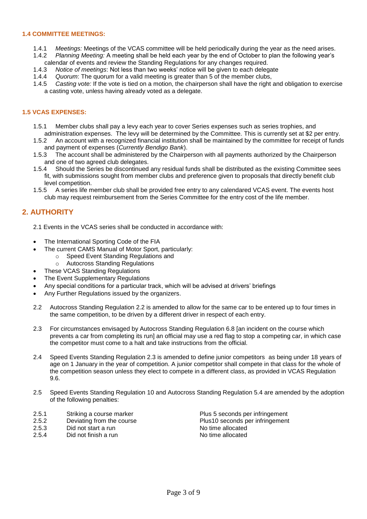## **1.4 COMMITTEE MEETINGS:**

- 1.4.1 *Meetings:* Meetings of the VCAS committee will be held periodically during the year as the need arises.
- 1.4.2 *Planning Meeting:* A meeting shall be held each year by the end of October to plan the following year's calendar of events and review the Standing Regulations for any changes required.
- 1.4.3 *Notice of meetings*: Not less than two weeks' notice will be given to each delegate
- 1.4.4 *Quorum*: The quorum for a valid meeting is greater than 5 of the member clubs,
- 1.4.5 *Casting vote:* If the vote is tied on a motion, the chairperson shall have the right and obligation to exercise a casting vote, unless having already voted as a delegate.

## **1.5 VCAS EXPENSES:**

- 1.5.1 Member clubs shall pay a levy each year to cover Series expenses such as series trophies, and
- administration expenses. The levy will be determined by the Committee. This is currently set at \$2 per entry. 1.5.2 An account with a recognized financial institution shall be maintained by the committee for receipt of funds and payment of expenses (*Currently Bendigo Bank*).
- 1.5.3 The account shall be administered by the Chairperson with all payments authorized by the Chairperson and one of two agreed club delegates.
- 1.5.4 Should the Series be discontinued any residual funds shall be distributed as the existing Committee sees fit, with submissions sought from member clubs and preference given to proposals that directly benefit club level competition.
- 1.5.5 A series life member club shall be provided free entry to any calendared VCAS event. The events host club may request reimbursement from the Series Committee for the entry cost of the life member.

# **2. AUTHORITY**

- 2.1 Events in the VCAS series shall be conducted in accordance with:
- The International Sporting Code of the FIA
- The current CAMS Manual of Motor Sport, particularly:
	- o Speed Event Standing Regulations and
		- o Autocross Standing Regulations
- These VCAS Standing Regulations
- The Event Supplementary Regulations
- Any special conditions for a particular track, which will be advised at drivers' briefings
- Any Further Regulations issued by the organizers.
- 2.2 Autocross Standing Regulation 2.2 is amended to allow for the same car to be entered up to four times in the same competition, to be driven by a different driver in respect of each entry.
- 2.3 For circumstances envisaged by Autocross Standing Regulation 6.8 [an incident on the course which prevents a car from completing its run] an official may use a red flag to stop a competing car, in which case the competitor must come to a halt and take instructions from the official.
- 2.4 Speed Events Standing Regulation 2.3 is amended to define junior competitors as being under 18 years of age on 1 January in the year of competition. A junior competitor shall compete in that class for the whole of the competition season unless they elect to compete in a different class, as provided in VCAS Regulation 9.6.
- 2.5 Speed Events Standing Regulation 10 and Autocross Standing Regulation 5.4 are amended by the adoption of the following penalties:
- 2.5.1 Striking a course marker **Plus 5** seconds per infringement
- 
- 
- Did not finish a run

2.5.2 Deviating from the course **Plus10** seconds per infringement <br>2.5.3 Did not start a run 2.5.3 Did not start a run No time allocated<br>2.5.4 Did not finish a run No time allocated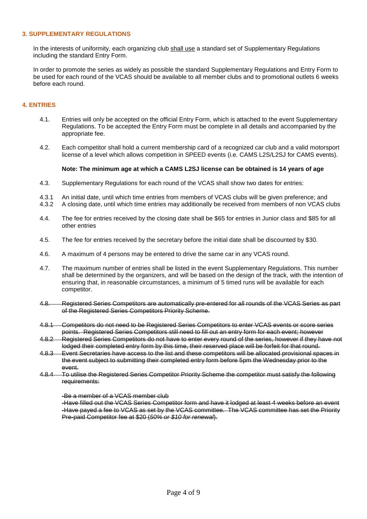## **3. SUPPLEMENTARY REGULATIONS**

In the interests of uniformity, each organizing club shall use a standard set of Supplementary Regulations including the standard Entry Form.

In order to promote the series as widely as possible the standard Supplementary Regulations and Entry Form to be used for each round of the VCAS should be available to all member clubs and to promotional outlets 6 weeks before each round.

## **4. ENTRIES**

- 4.1. Entries will only be accepted on the official Entry Form, which is attached to the event Supplementary Regulations. To be accepted the Entry Form must be complete in all details and accompanied by the appropriate fee.
- 4.2. Each competitor shall hold a current membership card of a recognized car club and a valid motorsport license of a level which allows competition in SPEED events (i.e. CAMS L2S/L2SJ for CAMS events).

## **Note: The minimum age at which a CAMS L2SJ license can be obtained is 14 years of age**

- 4.3. Supplementary Regulations for each round of the VCAS shall show two dates for entries:
- 4.3.1 An initial date, until which time entries from members of VCAS clubs will be given preference; and
- 4.3.2 A closing date, until which time entries may additionally be received from members of non VCAS clubs
- 4.4. The fee for entries received by the closing date shall be \$65 for entries in Junior class and \$85 for all other entries
- 4.5. The fee for entries received by the secretary before the initial date shall be discounted by \$30.
- 4.6. A maximum of 4 persons may be entered to drive the same car in any VCAS round.
- 4.7. The maximum number of entries shall be listed in the event Supplementary Regulations. This number shall be determined by the organizers, and will be based on the design of the track, with the intention of ensuring that, in reasonable circumstances, a minimum of 5 timed runs will be available for each competitor.
- 4.8. Registered Series Competitors are automatically pre-entered for all rounds of the VCAS Series as part of the Registered Series Competitors Priority Scheme.
- 4.8.1 Competitors do not need to be Registered Series Competitors to enter VCAS events or score series points. Registered Series Competitors still need to fill out an entry form for each event; however
- 4.8.2 Registered Series Competitors do not have to enter every round of the series, however if they have not lodged their completed entry form by this time, their reserved place will be forfeit for that round.
- 4.8.3 Event Secretaries have access to the list and these competitors will be allocated provisional spaces in the event subject to submitting their completed entry form before 5pm the Wednesday prior to the event.
- 4.8.4 To utilise the Registered Series Competitor Priority Scheme the competitor must satisfy the following requirements:

#### -Be a member of a VCAS member club

-Have filled out the VCAS Series Competitor form and have it lodged at least 4 weeks before an event -Have payed a fee to VCAS as set by the VCAS committee. The VCAS committee has set the Priority Pre-paid Competitor fee at \$20 (*50% or \$10 for renewal*).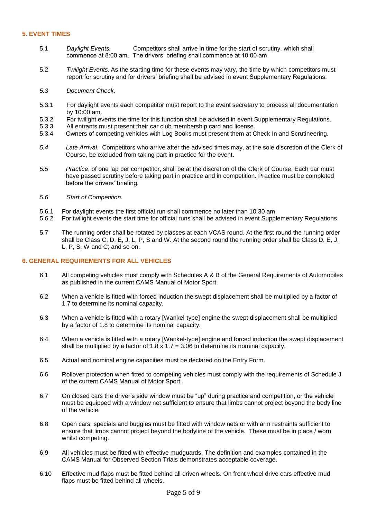## **5. EVENT TIMES**

- 5.1 *Daylight Events.* Competitors shall arrive in time for the start of scrutiny, which shall commence at 8:00 am. The drivers' briefing shall commence at 10:00 am.
- 5.2 *Twilight Events.* As the starting time for these events may vary, the time by which competitors must report for scrutiny and for drivers' briefing shall be advised in event Supplementary Regulations.
- *5.3 Document Check*.
- 5.3.1 For daylight events each competitor must report to the event secretary to process all documentation by 10:00 am.
- 5.3.2 For twilight events the time for this function shall be advised in event Supplementary Regulations.<br>5.3.3 All entrants must present their car club membership card and license.
- All entrants must present their car club membership card and license.
- 5.3.4 Owners of competing vehicles with Log Books must present them at Check In and Scrutineering.
- *5.4 Late Arrival*. Competitors who arrive after the advised times may, at the sole discretion of the Clerk of Course, be excluded from taking part in practice for the event.
- *5.5 Practice*, of one lap per competitor, shall be at the discretion of the Clerk of Course. Each car must have passed scrutiny before taking part in practice and in competition. Practice must be completed before the drivers' briefing.
- *5.6 Start of Competition.*
- 5.6.1 For daylight events the first official run shall commence no later than 10:30 am.<br>5.6.2 For twilight events the start time for official runs shall be advised in event Supple
- 5.6.2 For twilight events the start time for official runs shall be advised in event Supplementary Regulations.
- 5.7 The running order shall be rotated by classes at each VCAS round. At the first round the running order shall be Class C, D, E, J, L, P, S and W. At the second round the running order shall be Class D, E, J, L, P, S, W and C; and so on.

## **6. GENERAL REQUIREMENTS FOR ALL VEHICLES**

- 6.1 All competing vehicles must comply with Schedules A & B of the General Requirements of Automobiles as published in the current CAMS Manual of Motor Sport.
- 6.2 When a vehicle is fitted with forced induction the swept displacement shall be multiplied by a factor of 1.7 to determine its nominal capacity.
- 6.3 When a vehicle is fitted with a rotary [Wankel-type] engine the swept displacement shall be multiplied by a factor of 1.8 to determine its nominal capacity.
- 6.4 When a vehicle is fitted with a rotary [Wankel-type] engine and forced induction the swept displacement shall be multiplied by a factor of 1.8  $\times$  1.7 = 3.06 to determine its nominal capacity.
- 6.5 Actual and nominal engine capacities must be declared on the Entry Form.
- 6.6 Rollover protection when fitted to competing vehicles must comply with the requirements of Schedule J of the current CAMS Manual of Motor Sport.
- 6.7 On closed cars the driver's side window must be "up" during practice and competition, or the vehicle must be equipped with a window net sufficient to ensure that limbs cannot project beyond the body line of the vehicle.
- 6.8 Open cars, specials and buggies must be fitted with window nets or with arm restraints sufficient to ensure that limbs cannot project beyond the bodyline of the vehicle. These must be in place / worn whilst competing.
- 6.9 All vehicles must be fitted with effective mudguards. The definition and examples contained in the CAMS Manual for Observed Section Trials demonstrates acceptable coverage.
- 6.10 Effective mud flaps must be fitted behind all driven wheels. On front wheel drive cars effective mud flaps must be fitted behind all wheels.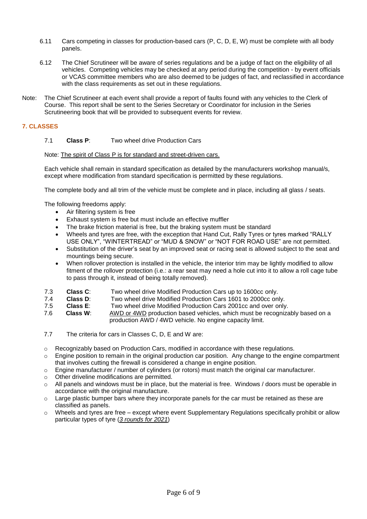- 6.11 Cars competing in classes for production-based cars (P, C, D, E, W) must be complete with all body panels.
- 6.12 The Chief Scrutineer will be aware of series regulations and be a judge of fact on the eligibility of all vehicles. Competing vehicles may be checked at any period during the competition - by event officials or VCAS committee members who are also deemed to be judges of fact, and reclassified in accordance with the class requirements as set out in these regulations.
- Note: The Chief Scrutineer at each event shall provide a report of faults found with any vehicles to the Clerk of Course. This report shall be sent to the Series Secretary or Coordinator for inclusion in the Series Scrutineering book that will be provided to subsequent events for review.

# **7. CLASSES**

# 7.1 **Class P**: Two wheel drive Production Cars

Note: The spirit of Class P is for standard and street-driven cars.

Each vehicle shall remain in standard specification as detailed by the manufacturers workshop manual/s, except where modification from standard specification is permitted by these regulations.

The complete body and all trim of the vehicle must be complete and in place, including all glass / seats.

The following freedoms apply:

- Air filtering system is free
- Exhaust system is free but must include an effective muffler
- The brake friction material is free, but the braking system must be standard
- Wheels and tyres are free, with the exception that Hand Cut, Rally Tyres or tyres marked "RALLY USE ONLY", "WINTERTREAD" or "MUD & SNOW" or "NOT FOR ROAD USE" are not permitted.
- Substitution of the driver's seat by an improved seat or racing seat is allowed subject to the seat and mountings being secure.
- When rollover protection is installed in the vehicle, the interior trim may be lightly modified to allow fitment of the rollover protection (i.e.: a rear seat may need a hole cut into it to allow a roll cage tube to pass through it, instead of being totally removed).
- 7.3 **Class C**: Two wheel drive Modified Production Cars up to 1600cc only.
- 7.4 **Class D**: Two wheel drive Modified Production Cars 1601 to 2000cc only.
- 7.5 **Class E**: Two wheel drive Modified Production Cars 2001cc and over only.
- 7.6 **Class W**: AWD or 4WD production based vehicles, which must be recognizably based on a production AWD / 4WD vehicle. No engine capacity limit.
- 7.7 The criteria for cars in Classes C, D, E and W are:
- o Recognizably based on Production Cars, modified in accordance with these regulations.
- $\circ$  Engine position to remain in the original production car position. Any change to the engine compartment that involves cutting the firewall is considered a change in engine position.
- $\circ$  Engine manufacturer / number of cylinders (or rotors) must match the original car manufacturer.
- o Other driveline modifications are permitted.
- $\circ$  All panels and windows must be in place, but the material is free. Windows / doors must be operable in accordance with the original manufacture.
- $\circ$  Large plastic bumper bars where they incorporate panels for the car must be retained as these are classified as panels.
- o Wheels and tyres are free except where event Supplementary Regulations specifically prohibit or allow particular types of tyre (*3 rounds for 2021*)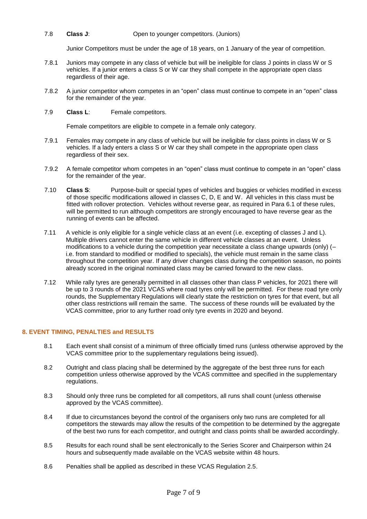## 7.8 **Class J**: Open to younger competitors. (Juniors)

Junior Competitors must be under the age of 18 years, on 1 January of the year of competition.

- 7.8.1 Juniors may compete in any class of vehicle but will be ineligible for class J points in class W or S vehicles. If a junior enters a class S or W car they shall compete in the appropriate open class regardless of their age.
- 7.8.2 A junior competitor whom competes in an "open" class must continue to compete in an "open" class for the remainder of the year.
- 7.9 **Class L**: Female competitors.

Female competitors are eligible to compete in a female only category.

- 7.9.1 Females may compete in any class of vehicle but will be ineligible for class points in class W or S vehicles. If a lady enters a class S or W car they shall compete in the appropriate open class regardless of their sex.
- 7.9.2 A female competitor whom competes in an "open" class must continue to compete in an "open" class for the remainder of the year.
- 7.10 **Class S**: Purpose-built or special types of vehicles and buggies or vehicles modified in excess of those specific modifications allowed in classes C, D, E and W. All vehicles in this class must be fitted with rollover protection. Vehicles without reverse gear, as required in Para 6.1 of these rules, will be permitted to run although competitors are strongly encouraged to have reverse gear as the running of events can be affected.
- 7.11 A vehicle is only eligible for a single vehicle class at an event (i.e. excepting of classes J and L). Multiple drivers cannot enter the same vehicle in different vehicle classes at an event. Unless modifications to a vehicle during the competition year necessitate a class change upwards (only) (– i.e. from standard to modified or modified to specials), the vehicle must remain in the same class throughout the competition year. If any driver changes class during the competition season, no points already scored in the original nominated class may be carried forward to the new class.
- 7.12 While rally tyres are generally permitted in all classes other than class P vehicles, for 2021 there will be up to 3 rounds of the 2021 VCAS where road tyres only will be permitted. For these road tyre only rounds, the Supplementary Regulations will clearly state the restriction on tyres for that event, but all other class restrictions will remain the same. The success of these rounds will be evaluated by the VCAS committee, prior to any further road only tyre events in 2020 and beyond.

## **8. EVENT TIMING, PENALTIES and RESULTS**

- 8.1 Each event shall consist of a minimum of three officially timed runs (unless otherwise approved by the VCAS committee prior to the supplementary regulations being issued).
- 8.2 Outright and class placing shall be determined by the aggregate of the best three runs for each competition unless otherwise approved by the VCAS committee and specified in the supplementary regulations.
- 8.3 Should only three runs be completed for all competitors, all runs shall count (unless otherwise approved by the VCAS committee).
- 8.4 If due to circumstances beyond the control of the organisers only two runs are completed for all competitors the stewards may allow the results of the competition to be determined by the aggregate of the best two runs for each competitor, and outright and class points shall be awarded accordingly.
- 8.5 Results for each round shall be sent electronically to the Series Scorer and Chairperson within 24 hours and subsequently made available on the VCAS website within 48 hours.
- 8.6 Penalties shall be applied as described in these VCAS Regulation 2.5.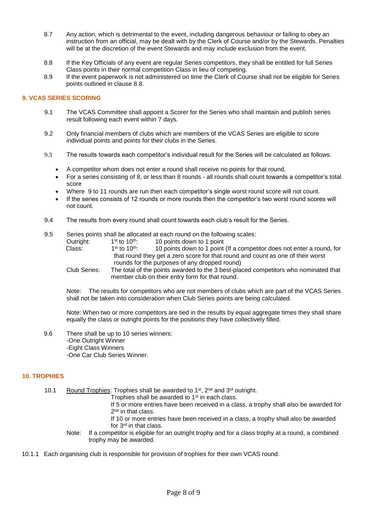- 8.7 Any action, which is detrimental to the event, including dangerous behaviour or failing to obey an instruction from an official, may be dealt with by the Clerk of Course and/or by the Stewards. Penalties will be at the discretion of the event Stewards and may include exclusion from the event.
- 8.8 If the Key Officials of any event are regular Series competitors, they shall be entitled for full Series Class points in their normal competition Class in lieu of competing.
- 8.9 If the event paperwork is not administered on time the Clerk of Course shall not be eligible for Series points outlined in clause 8.8.

## **9. VCAS SERIES SCORING**

- 9.1 The VCAS Committee shall appoint a Scorer for the Series who shall maintain and publish series result following each event within 7 days.
- 9.2 Only financial members of clubs which are members of the VCAS Series are eligible to score individual points and points for their clubs in the Series.
- 9.3 The results towards each competitor's individual result for the Series will be calculated as follows.
	- A competitor whom does not enter a round shall receive no points for that round.
	- For a series consisting of 8, or less than 8 rounds all rounds shall count towards a competitor's total score
	- Where 9 to 11 rounds are run then each competitor's single worst round score will not count.
	- If the series consists of 12 rounds or more rounds then the competitor's two worst round scores will not count.
- 9.4 The results from every round shall count towards each club's result for the Series.
- 9.5 Series points shall be allocated at each round on the following scales:<br>Outright:  $1^{\text{st}}$  to  $10^{\text{th}}$ : 10 points down to 1 point
	- Outright: 10 points down to 1 point

| Class:                                                                                                                                                                                                                                                                                                                                                                                                                   | $1st$ to $10th$ .                                                               | 10 points down to 1 point (If a competitor does not enter a round, for                |  |
|--------------------------------------------------------------------------------------------------------------------------------------------------------------------------------------------------------------------------------------------------------------------------------------------------------------------------------------------------------------------------------------------------------------------------|---------------------------------------------------------------------------------|---------------------------------------------------------------------------------------|--|
|                                                                                                                                                                                                                                                                                                                                                                                                                          | that round they get a zero score for that round and count as one of their worst |                                                                                       |  |
|                                                                                                                                                                                                                                                                                                                                                                                                                          | rounds for the purposes of any dropped round)                                   |                                                                                       |  |
| $\bigcap_{n\in\mathbb{N}}\bigcap_{n\in\mathbb{N}}\bigcap_{n\in\mathbb{N}}\bigcap_{n\in\mathbb{N}}\bigcap_{n\in\mathbb{N}}\bigcap_{n\in\mathbb{N}}\bigcap_{n\in\mathbb{N}}\bigcap_{n\in\mathbb{N}}\bigcap_{n\in\mathbb{N}}\bigcap_{n\in\mathbb{N}}\bigcap_{n\in\mathbb{N}}\bigcap_{n\in\mathbb{N}}\bigcap_{n\in\mathbb{N}}\bigcap_{n\in\mathbb{N}}\bigcap_{n\in\mathbb{N}}\bigcap_{n\in\mathbb{N}}\bigcap_{n\in\mathbb{N$ |                                                                                 | The total of the points currented to the Object placed compatitors who populated that |  |

Club Series: The total of the points awarded to the 3 best-placed competitors who nominated that member club on their entry form for that round.

Note: The results for competitors who are not members of clubs which are part of the VCAS Series shall not be taken into consideration when Club Series points are being calculated.

Note: When two or more competitors are tied in the results by equal aggregate times they shall share equally the class or outright points for the positions they have collectively filled.

9.6 There shall be up to 10 series winners: -One Outright Winner -Eight Class Winners -One Car Club Series Winner.

## **10. TROPHIES**

- 10.1 Round Trophies: Trophies shall be awarded to 1<sup>st</sup>, 2<sup>nd</sup> and 3<sup>rd</sup> outright.
	- Trophies shall be awarded to 1<sup>st</sup> in each class.
		- If 5 or more entries have been received in a class, a trophy shall also be awarded for 2<sup>nd</sup> in that class.
	- If 10 or more entries have been received in a class, a trophy shall also be awarded for 3rd in that class.
	- Note: If a competitor is eligible for an outright trophy and for a class trophy at a round, a combined trophy may be awarded.
- 10.1.1 Each organising club is responsible for provision of trophies for their own VCAS round.